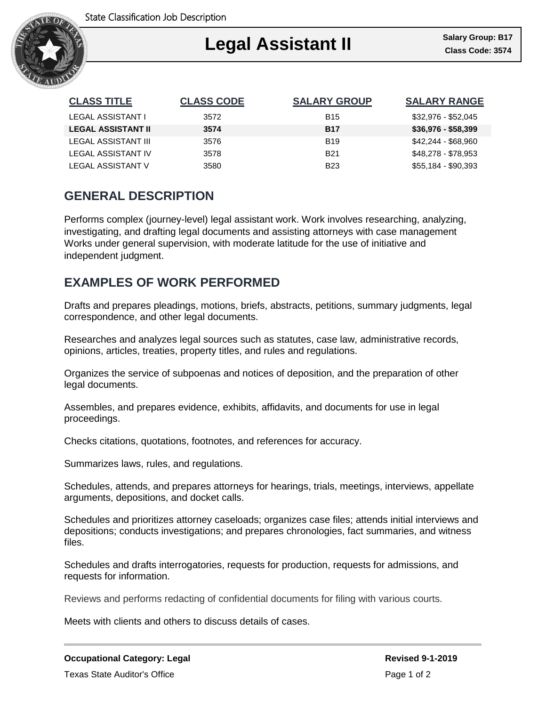

| <b>CLASS TITLE</b>        | <b>CLASS CODE</b> | <b>SALARY GROUP</b> | <b>SALARY RANGE</b> |
|---------------------------|-------------------|---------------------|---------------------|
| LEGAL ASSISTANT I         | 3572              | <b>B15</b>          | \$32,976 - \$52,045 |
| <b>LEGAL ASSISTANT II</b> | 3574              | <b>B17</b>          | $$36,976 - $58,399$ |
| LEGAL ASSISTANT III       | 3576              | <b>B19</b>          | \$42,244 - \$68,960 |
| LEGAL ASSISTANT IV        | 3578              | <b>B21</b>          | \$48,278 - \$78,953 |
| <b>LEGAL ASSISTANT V</b>  | 3580              | <b>B23</b>          | \$55,184 - \$90,393 |

## **GENERAL DESCRIPTION**

Performs complex (journey-level) legal assistant work. Work involves researching, analyzing, investigating, and drafting legal documents and assisting attorneys with case management Works under general supervision, with moderate latitude for the use of initiative and independent judgment.

## **EXAMPLES OF WORK PERFORMED**

Drafts and prepares pleadings, motions, briefs, abstracts, petitions, summary judgments, legal correspondence, and other legal documents.

Researches and analyzes legal sources such as statutes, case law, administrative records, opinions, articles, treaties, property titles, and rules and regulations.

Organizes the service of subpoenas and notices of deposition, and the preparation of other legal documents.

Assembles, and prepares evidence, exhibits, affidavits, and documents for use in legal proceedings.

Checks citations, quotations, footnotes, and references for accuracy.

Summarizes laws, rules, and regulations.

Schedules, attends, and prepares attorneys for hearings, trials, meetings, interviews, appellate arguments, depositions, and docket calls.

Schedules and prioritizes attorney caseloads; organizes case files; attends initial interviews and depositions; conducts investigations; and prepares chronologies, fact summaries, and witness files.

Schedules and drafts interrogatories, requests for production, requests for admissions, and requests for information.

Reviews and performs redacting of confidential documents for filing with various courts.

Meets with clients and others to discuss details of cases.